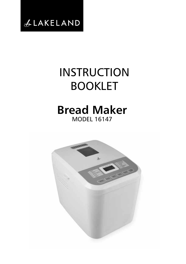

# **INSTRUCTION** BOOKLET

# **Bread Maker** MODEL 16147

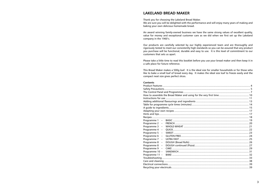# **LAKELAND BREAD MAKER**

Thank you for choosing the Lakeland Bread Maker.

We are sure you will be delighted with the performance and will enjoy many years of making and baking your own delicious homemade bread.

An award winning family-owned business we have the same strong values of excellent quality, value for money and exceptional customer care as we did when we first set up the Lakeland company in the 1960's.

Our products are carefully selected by our highly experienced team and are thoroughly and rigorously tested to meet our consistently high standards so you can be assured that any product you purchase will be functional, durable and easy to use. It is this level of commitment to our customers that sets us apart.

Please take a little time to read this booklet before you use your bread maker and then keep it in a safe place for future reference.

This Bread Maker makes a 500g loaf. It is the ideal size for smaller households or for those who like to bake a small loaf of bread every day. It makes the ideal size loaf to freeze easily and the compact neat size gives perfect slices.

#### **Contents**

| Programme $2 -$                         |  |  |
|-----------------------------------------|--|--|
| Programme 3<br>$\equiv$                 |  |  |
| Programme 4<br>$\overline{a}$           |  |  |
| Programme 5<br>$\overline{\phantom{0}}$ |  |  |
| Programme 6<br>$\overline{\phantom{0}}$ |  |  |
| Programme 7<br>$\overline{\phantom{0}}$ |  |  |
| Programme 8<br>$\overline{\phantom{0}}$ |  |  |
| Programme 8<br>$\qquad \qquad -$        |  |  |
| Programme 9<br>$\overline{\phantom{m}}$ |  |  |
| Programme 10 -                          |  |  |
| Programme 11 -                          |  |  |
|                                         |  |  |
|                                         |  |  |
|                                         |  |  |
|                                         |  |  |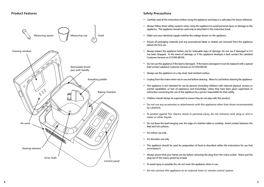

# **Safety Precautions**

- Carefully read all the instructions before using the appliance and keep in a safe place for future reference.
- • Always follow these safety cautions when using the appliance to avoid personal injury or damage to the appliance. This appliance should be used only as described in this instruction book.
- Make sure your electricity supply matches the voltage shown on the appliance.
- Ensure all packaging materials and any promotional labels or stickers are removed from the appliance before the first use.
- Always inspect the appliance before use for noticeable signs of damage. Do not use if damaged or if it has been dropped. In the event of damage, or if the appliance develops a fault contact the Lakeland Customer Services on 015394 88100.
- Do not use this appliance if the lead is damaged. If the lead is damaged it must be replaced with a special lead contact Lakeland Customer Services on 015394 88100.
- Always use the appliance on a dry, level, heat resistant surface.
- Unplug from the mains when not in use and before cleaning. Allow to cool before cleaning the appliance.
- • This appliance is not intended for use by persons (including children) with reduced physical, sensory or mental capabilities, or lack of experience and knowledge, unless they have been given supervision or instruction concerning the use of the appliance by a person responsible for their safety.
- Children should always be supervised to ensure they do not play with this product.
- • Do not use any accessories or attachments with this appliance other than those recommended by Lakeland.
- • To protect against fire, electric shock or personal injury, do not immerse cord, plug or unit in water or other liquids.
- • Do not leave the lead hanging over the edge of a kitchen table or worktop. Avoid contact between the lead and hot surfaces.
- For indoor use only.
- For domestic use only.
- • This appliance should be used for preparation of food as described within the instructions for use that accompany it.
- • Always ensure that your hands are dry before removing the plug from the mains socket. Never pull the plug out of the mains socket by its lead.
- To avoid injury or possible fire, do not cover the appliance when in use.
- Do not connect this appliance to an external timer or remote control system.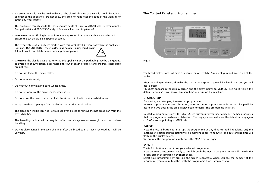- • An extension cable may be used with care. The electrical rating of the cable should be at least as great as the appliance. Do not allow the cable to hang over the edge of the worktop or touch any hot surfaces.
- This appliance complies with the basic requirements of Directives 04/108/EC (Electromagnetic Compatibility) and 06/95/EC (Safety of Domestic Electrical Appliances)
- • **WARNING:** a cut off plug inserted into a 13amp socket is a serious safety (shock) hazard. Ensure the cut off plug is disposed of safely.
- • The temperature of all surfaces marked with this symbol will be very hot when the appliance is in use. DO NOT TOUCH these surfaces as possible injury could occur. Allow to cool completely before handling this appliance.
- **CAUTION:** the plastic bags used to wrap this appliance or the packaging may be dangerous. To avoid risk of suffocation, keep these bags out of reach of babies and children. These bags are not toys.
- • Do not use foil in the bread maker
- • Do not operate empty.
- Do not touch any moving parts whilst in use.
- Do not lift or move the bread maker whilst in use.
- Do not cover the bread maker or block the air vents in the lid or sides whilst in use.
- Make sure there is plenty of air circulation around the bread maker.
- • The bread pan will be very hot always use oven gloves to remove the hot bread pan from the oven chamber.
- The kneading paddle will be very hot after use, always use an oven glove or cloth when handling.
- Do not place hands in the oven chamber after the bread pan has been removed as it will be very hot.

# **The Control Panel and Programmes**



**Fig. 1**

The bread maker does not have a separate on/off switch. Simply plug in and switch on at the socket.

After switching on the Bread maker the LCD in the display screen will be illuminated and you will hear a beep.

"1, 3:00" appears in the display screen and the arrow points to MEDIUM (see fig.1) this is the default setting so it will show this every time you turn on the machine.

# **START/STOP**

For starting and stopping the selected programme.

To START a programme, press the START/STOP button for approx 2 seconds. A short beep will be heard and two dots in the time display begin to flash. The programme will start.

To STOP a programme, press the START/STOP button until you hear a beep. The beep indicates that the programme has been switched off. The display screen will show the default setting again (1, 3:00 – arrow pointing to MEDIUM)

#### **PAUSE**

Press the PAUSE button to interrupt the programme at any time (to add ingredients etc) the machine will pause but the setting will be memorized for 10 minutes. The outstanding time will flash on the display screen.

To continue the programme simply press the PAUSE button again.

#### **MENU**

The MENU button is used to set your selected programme.

Press the MENU button repeatedly to scroll through the menu – the programmes will show in the display screen accompanied by short beeps.

Select your programme by pressing the screen repeatedly. When you see the number of the programme you require together with the programme time – stop pressing.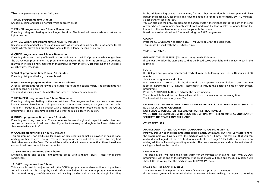# **The programmes are as follows:**

#### **1. BASIC programme time 3 hours**

Kneading, rising and baking normal white or brown bread.

#### **2. FRENCH programme time 3 hours 50 minutes**

Kneading, rising and baking with a longer rise time. The bread will have a crisper crust and a lighter texture.

#### **3. WHOLE-WHEAT programme time 3 hours 40 minutes**

Kneading, rising and baking of bread made with whole-wheat flours. Use this programme for all whole-wheat, brown and granary type loaves. It has a longer second rising time.

#### **4. QUICK programme time 2 hours 10 minutes**

Kneading, rising and baking of bread in a shorter time than the BASIC programme but longer than the ULTRA FAST programme. The programme has shorter rising times. It produces an excellent loaf which will be slightly smaller than that produced from the BASIC programme and it will have a slightly denser texture.

#### **5. SWEET programme time 2 hours 55 minutes**

Kneading, rising and baking of sweet bread.

#### **6. GLUTEN-FREE programme time 3 hours 30 minutes**

A special programme for those who use gluten-free flours and baking mixes. The programme has a long second rising time.

The dough is usually more like a batter and is wetter than ordinary doughs.

#### **7. ULTRA FAST programme time 1 hour 38 minutes**

Kneading, rising and baking in the shortest time. The programme has only one rise and two kneads. Loaves baked using this programme require warm water, extra yeast and less salt. The loaf it produces will be smaller with a denser texture than bread made using the QUICK programme. This programme is ideal if you want to make a loaf very quickly.

#### **8. DOUGH programme time 1 hour 30 minutes**

Kneading and rising. No bake. You can remove the raw dough and shape into rolls, pizzas etc to cook in the conventional oven. Ideal if you like to make your dough in the Bread Maker and then oven bake your loaf.

#### **9. CAKE programme time 1 hour 50 minutes**

This programme is for producing tea loaves or cakes containing baking powder or baking soda and eggs rather than yeast dough. The cake programme mixes and bakes the cake. You may find that cakes made in the Bread Maker will be smaller and a little more dense than those baked in a conventional oven but will be just as moist.

#### **10. SANDWICH programme time 3 hours**

Kneading, rising and baking light-textured bread with a thinner crust – ideal for making sandwiches.

#### **11. BAKE programme time 1 hour**

This is usually used in conjunction with the DOUGH programme to allow additional ingredients to be kneaded into the dough by hand. After completion of the DOUGH programme, remove the unbaked dough, carefully remove the kneading paddle, and reshape the dough, kneading in the additional ingredients such as nuts, fruit etc, then return dough to bread pan and place back in the machine. Close the lid and leave the dough to rise for approximately 30 – 40 minutes. Select BAKE to cook the loaf.

You can also use the BAKE programme to darken crusts if the finished loaf is too light at the end of your chosen programme. Simply select BAKE and leave the loaf to bake for longer, taking the loaf out of the machine when you are happy with the colour.

Bread can also be crisped and freshened using the BAKE programme.

#### **COLOUR**

Press the COLOUR button to select a LIGHT, MEDIUM or DARK coloured crust. This cannot be used with the DOUGH setting.

#### **TIME + and TIME –**

(DELAYING THE START TIME) (Maximum delay time is 13 hours)

If you want to delay the start time so that the bread cooks overnight and is ready to eat in the morning:-

#### Example;

It is 8.30pm and you want your bread ready at 7am the following day – i.e. in 10 hours and 30 minutes.

Select your programme and colour.

Press **TIME +** or **TIME –** to add the time until 10.30 appears on the display screen. The time is set in increments of 10 minutes. Remember to include the operation time of your chosen programme.

Press the START/STOP button to activate the delay function.

The dots will flash and the numbers will count down to show you the remaining time. The bread will be ready for you at 7am.

#### **DO NOT USE THE DELAY TIME WHEN USING INGREDIENTS THAT WOULD SPOIL SUCH AS EGGS, MILK, CREAM OR CHEESE.**

**NOT SUITABLE FOR GLUTEN-FREE AND ULTRA FAST PROGRAMMES.**

**WE DO NOT RECOMMEND USE OF DELAY TIME SETTING WITH BREAD MIXES AS YOU CANNOT SEPARATE THE YEAST FROM THE LIQUID.**

#### **OTHER FEATURES**

#### **AUDIBLE ALERT TO TELL YOU WHEN TO ADD ADDITIONAL INGREDIENTS.**

Part way through each programme (after approximately 30 minutes but it will vary according to the programme you have selected) the machine will beep 10 times. This tells you that you can add additional ingredients such as fruit, olives, nuts etc. (see page 13 for further information on adding additional flavourings and ingredients ) The beeps are very clear and can be easily heard, calling you back to the machine.

#### **KEEP WARM**

The Bread Maker will keep the bread warm for 60 minutes after baking. (Not with DOUGH programme) At the end of the programme the bread maker will beep and the display screen will show  $0:00$  indicating that the machine is in KFFP WARM mode.

#### **POWER FAILURE BACKUP SYSTEM**

The Bread maker is equipped with a power failure backup system or memory. If the power system is interrupted during the course of bread making, the process of making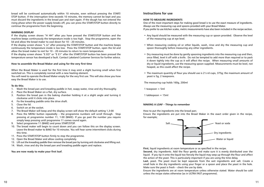bread will be continued automatically within 10 minutes, even without pressing the START/ STOP button. If the interruption time exceeds 10 minutes, the memory cannot be kept and you must discard the ingredients in the bread pan and start again. If the dough has not entered the rising phase when the power supply breaks off, you can press the START/STOP button directly to continue the programme from the beginning.

#### **WARNING DISPLAY**

If the display screen shows "H HH" after you have pressed the START/STOP button and the machine beeps continuously the temperature inside is too high. Stop the programme, open the lid and allow the bread maker to cool down for 10 – 20 minutes.

If the display screen shows "L LL" after pressing the START/STOP button and the machine beeps continuously the temperature inside is too low. Press the START/STOP button, open the lid and allow the bread maker to rest for  $10 - 20$  minutes to return to room temperature.

If the display screen shows "E EO" or "E E1" after the START/STOP button has been pressed the temperature sensor has developed a fault. Contact Lakeland Customer Services for further advice.

#### **How to assemble the Bread Maker and using for the very first time**

When the Bread Maker is used for the first time it may emit a slight burning smell when first switched on. This is completely normal with a new heating element.

You will need to operate the Bread Maker empty for the very first use. This will also show you how easy the Bread Maker is to use.

#### **To do this;**

- 1. Wash the bread pan and kneading paddle in hot, soapy water, rinse and dry thoroughly.
- 2. Place the Bread Maker on a flat, dry surface.
- 3. Position the bread pan in the baking chamber holding it at a slight angle and turning it clockwise until it clicks into place.
- 4. Fix the kneading paddle onto the drive shaft.
- 5. Close the lid.
- 6. Switch on at the socket.
- 7. The Bread Maker will beep and the display screen will show the default setting 1,3:00
- 8. Press the MENU button repeatedly the programme numbers will scroll through. Stop pressing at programme number 11, 1:00 (BAKE). If you go past the number you require simply keep pressing until programme 11 comes round again.
- 9. Select programme 11 (BAKE) and press START/STOP.
- 10. The bread maker will begin to count down and you can follow this on the display screen. Leave the Bread maker to BAKE for 10 minutes. You will hear some intermittent clicks during this time.
- 11. Press the START/STOP button firmly to stop the programme.
- 12. Open the Bread Maker and allow cooling completely.
- 13. Lift out the kneading paddle then remove the bread pan by turning anti clockwise and lifting out.
- 14. Wash, rinse and dry the bread pan and kneading paddle again and replace.

#### **You are now ready to make your first loaf.**

# **Instructions for use**

#### **HOW TO MEASURE INGREDIENTS**

One of the most important steps for making good bread is to use the exact measure of ingredients. Always use the measuring cup and spoons provided with your Bread Maker.

If you prefer to use kitchen scales, metric measurements have also been included in the recipe section.

- Any liquid should be measured with the measuring cup or spoon provided. Observe the level of the measuring cup at eye level.
- • When measuring cooking oil or other liquids, wash, rinse and dry the measuring cup and spoon thoroughly before measuring any other ingredients.
- Dry measuring must be done by gently spooning ingredients into the measuring cup and then, once filled, level it off with a knife. Do not be tempted to add more than required or to pack it down tightly into the cup as it will affect the recipe. When measuring small amounts of dry or liquid ingredients, use the measuring spoon supplied. Measurements must be level, not heaped, as this could affect the recipe.
- The maximum quantity of flour you should use is  $2\frac{1}{3}$  rd cups, 375g; the maximum amount of yeast is 5g, 2 teaspoons.

The measuring cup holds 160g, 200ml

1 teaspoon = 5ml

1 tablespoon = 15ml

#### **MAKING A LOAF – Things to remember**

How to put the ingredients into the bread pan;

Ensure the ingredients are put into the Bread Maker in the exact order given in the recipe, for example;



**First**, liquid ingredients at room temperature or as specified in the recipe.

**Second**, dry ingredients. Add the flour gently and make sure it is evenly distributed over the liquid. If you tip it onto the liquid too fiercely the liquid may seep up through the flour and affect the action of the yeast. This is particularly important if you are using the time delay.

**Last**, yeast. The yeast must be kept separate from the wet ingredients and salt. Create a small hole in the dry ingredients using your finger or a spoon and place the yeast in the hole. Make sure the yeast is fresh – check the use by date.

Ensure the ingredients are at room temperature unless otherwise stated. Water should be cold unless the recipe states otherwise (as in ULTRA FAST programme).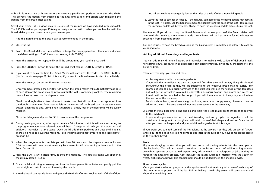Rub a little margarine or butter onto the kneading paddle and position onto the drive shaft. This prevents the dough from sticking to the kneading paddle and assists with removing the paddle from the bread after baking.

Select your recipe – it is a good idea to use one of the recipes we have included in this booklet. The BASIC bread recipe on page 19 is a good recipe to start with. When you are familiar with the Bread Maker you can use or adapt your own recipes.

- 1. Add the ingredients to the bread pan as recommended in the recipe.
- 2. Close the lid.
- 3. Switch the Bread Maker on. You will hear a beep. The display panel will illuminate and show the default setting (1, 3.00 the arrow pointing to MEDIUM)
- 4. Press the MENU button repeatedly until the programme you require is reached.
- 5. Press the COLOUR button to select the desired crust colour (LIGHT, MEDIUM or DARK)
- 6. If you want to delay the time the Bread Maker will start press the TIME + or TIME button. (for full details see page 9) Skip this step if you want the Bread maker to start immediately.
- 7. Press the START/STOP button firmly for 3 seconds.

 Once you have pressed the START/STOP button the Bread maker will automatically take care of each step of the bread making process until the loaf is completely cooked. The remaining time will countdown on the display screen.

Check the dough after a few minutes to make sure that all the flour is incorporated into the dough. Sometimes flour may be left in the corners of the bread pan. Press the PAUSE button, open the lid and, using a non stick spatula, simply loosen the flour so it will be evenly mixed in.

Close the lid again and press PAUSE to recommence the programme.

- 8. During each programme, after approximately 30 minutes, but this will vary according to the programme you have selected, you will hear 10 beeps – this tells you that you can add additional ingredients at this stage. Open the lid, add the ingredients and close the lid again. There is no need to pause the machine. See "Adding additional flavourings and ingredients" on page 13.
- 9. When the programme is complete you will hear 10 beeps and the display screen will show 0:00 the bread will now be automatically kept warm for 60 minutes if you do not switch the Bread Maker off.
- 10. Press the START/STOP button firmly to stop the machine. The default setting will appear in the display screen (1, 3:00)
- 11. Open the lid and using an oven glove, turn the bread pan anti-clockwise and gently pull the pan straight up out of the machine using the handle.
- 12. Turn the bread pan upside down and gently shake the loaf onto a cooling rack. If the loaf does

not fall out straight away gently loosen the sides of the loaf with a non stick spatula.

13. Leave the loaf to cool for at least  $20 - 30$  minutes. Sometimes the kneading paddle may remain in the loaf. If it does, use the hook to remove the paddle from the base of the loaf. Take care as the kneading paddle will be very hot. Always remove the kneading paddle before slicing the loaf.

Remember; if you do not stop the Bread Maker and remove your loaf the Bread Maker will automatically switch to KEEP WARM mode. Your bread will be kept warm for 60 minutes to prevent it from becoming soggy.

For best results, remove the bread as soon as the baking cycle is complete and allow it to cool on a cooling rack.

#### **Adding additional flavourings and ingredients**

You can add many different flavours and ingredients to make a wide variety of delicious breads for example nuts, seeds, fresh or dried herbs, sun dried tomatoes, olives, fruit, chocolate etc. the list is endless.

There are two ways you can add these;

#### 1. At the very start – with the main ingredients

If you add the ingredients at the start you will find that they will be very finely distributed throughout the bread as they will be subjected to the vigorous bread making cycles. For example if you add sun dried tomatoes at the start you will lose the texture of the tomatoes but will get an attractive coloured bread with a delicious flavour and aroma but pieces of tomato will not be detected in the dough. If you add them later on in the cycle you will retain the texture of the tomatoes.

Foods such as herbs, small seeds e.g. sunflower, sesame or poppy seeds, cheese etc can be added at the start because they will not lose their texture in the same way.

2. Before the final kneading, rising and baking cycle (the bread maker emits 10 beeps to call you to the machine).

If you add ingredients before the final kneading and rising cycle the ingredients will be distributed throughout the dough and will retain more of their shape and texture. Open the lid after you hear the beeps and add your additional ingredients at this stage.

If you prefer you can add some of the ingredients at the very start so they add an overall flavour and colour to the dough, retaining some to add later in the cycle so you have some bigger pieces in the finished bread.

#### **Note**

If you are delaying the start time you will need to put all the ingredients into the bread pan at the beginning. You will also need to consider the moisture content of additional ingredients. Juicy dried apricots or roasted red peppers may add as much as a tablespoon of juice as they go through the kneading process. Also, because too much sugar can interfere with the action of yeast, high sugar additives like candied peel should be added late in the kneading cycle.

#### **Bread maker cycles**

Once you start a selected programme the appliance will automatically take care of each step of the bread making process until the loaf finishes baking. The display screen will count down and show the remaining time.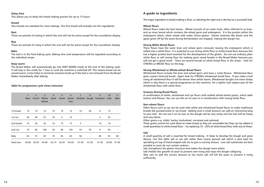#### **Delay time**

This allows you to delay the bread making process for up to 13 hours.

#### **Knead**

Two kneads are standard for most settings. The first knead will actually mix the ingredients.

#### **Rest**

These are periods of resting in which the unit will not be active except for the countdown display.

#### **Rise**

These are periods of rising in which the unit will not be active except for the countdown display.

#### **Bake**

The loaf is in the final baking cycle. Baking time and temperature will be regulated according to the individual recipe.

#### **Keep warm**

The Bread Maker will automatically go into KEEP WARM mode at the end of the baking cycle. It will stay in this mode for 1 hour or until the machine is switched off. This means bread can be served warm; it also helps to minimize moisture build up if the loaf is not removed from the Bread Maker immediately after baking.

#### **Table for programme cycle times (minutes)**

|            | 1<br><b>Basic</b> | $\overline{2}$<br>French | 3<br>Whole<br>Wheat | $\overline{4}$<br>Quick | 5     | 6<br>Free | 7     | 8                        | 9<br>Sweet Gluten Ultrafast Dough Sandwich Cake | 10    | 11<br>Bake |
|------------|-------------------|--------------------------|---------------------|-------------------------|-------|-----------|-------|--------------------------|-------------------------------------------------|-------|------------|
| 1st knead  | 10                | 10                       | 10                  | 10                      | 10    | 12        | 10    | 20                       | 6                                               | 15    |            |
| 1st rise   | 20                | 40                       | 25                  | 10                      | 5     | 15        |       | ٠                        | 5                                               | 35    | ٠          |
| 2nd knead  | 15                | 20                       | 20                  | 10                      | 15    | 13        | 5     | $\overline{\phantom{a}}$ | 10                                              | 10    | ٠          |
| 2nd rise   | 70                | 85                       | 100                 | 30                      | 80    | 105       | 33    | 70                       | 9                                               | 65    |            |
| Bake       | 65                | 75                       | 65                  | 70                      | 65    | 65        | 50    |                          | 80                                              | 55    | 60         |
| Total time | 03:00             | 03:50                    | 03:40               | 02:10                   | 02:55 | 03:30     | 01:38 | 01:30                    | 01:50                                           | 03:00 | 01:00      |

# **A guide to ingredients**

The major ingredient in bread making is flour, so selecting the right one is the key to a successful loaf.

#### **Wheat flours**

Wheat flours make the best loaves. Wheat consists of an outer husk, often referred to as bran, and an inner kernel which contains the wheat germ and endosperm. It is the protein within the endosperm which, when mixed with water, forms gluten. Gluten stretches like elastic and the gases given off by the yeast during fermentation are trapped, making the dough rise.

#### **Strong White Bread flours**

These flours have the outer bran and wheat germ removed, leaving the endosperm which is milled into a white flour. It is essential to use strong white flour or white bread flour because this has a higher protein level essential for the development of the gluten. Do not use ordinary plain white flour or self raising flour for making yeast raised breads in the Bread Maker because you will not get a good result. There are several brands of white bread flour in the shops – look for STRONG or BREAD flour on the bag.

#### **Strong Wholemeal or Whole-wheat Bread flours**

Wholemeal flours include the bran and wheat germ and have a nutty flavour. Wholemeal flour gives coarser textured bread. Again look for STRONG wholemeal bread flour. If you make a loaf using all wholemeal flour it will be denser than white loaves. Wholemeal doughs rise more slowly which is why there is a special programme on this machine. For a lighter loaf replace part of the wholemeal flour with white flour.

#### **Granary Strong Bread flours.**

A combination of white, wholemeal and rye flours with malted whole-wheat grains, which adds texture and flavour. You can use this on its own or in combination with strong white flour.

#### **Non wheat flours**

Other flours such as rye can be used with white and wholemeal bread flours to make traditional breads like pumpernickel or rye bread. Adding even a small amount can add an interesting tang to your loaf. Do not use it on its own as the dough will be very sticky and the loaf will be heavy and very dense.

Other grains e.g. millet, barley, buckwheat, cornmeal and oatmeal;

These grains cannot be used alone to make bread as they are unsuitable but they can be added in small quantities to white bread flour – try replacing 10 – 20% of white bread flour with any of these.

#### **Salt**

A small quantity of salt is essential for bread making. It helps to develop the dough and gives flavour. Use fine table salt or sea salt rather than coarse ground salt which is best kept for sprinkling on top of hand-shaped rolls etc to give a crunchy texture. Low salt substitutes are best avoided as most do not contain sodium.

Salt strengthens the gluten structure and makes the dough more elastic.

Salt inhibits the growth of yeast to prevent over-rising and stops the dough collapsing.

Take care to add the correct amount as too much salt will kill the yeast or prevent it rising sufficiently.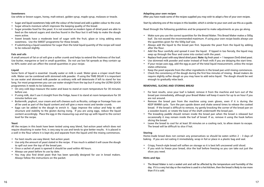#### **Sweeteners**

Use white or brown sugars, honey, malt extract, golden syrup, maple syrup, molasses or treacle.

- • Sugar and liquid sweeteners help with the colour of the bread and add a golden colour to the crust.
- Sugar attracts moisture which improves the keeping quality of the bread.
- • Sugar provides food for the yeast. It is not essential as modern types of dried yeast are able to feed on the natural sugars and starches found in the flour but it will help to make the dough more active.
- • Sweet breads have a moderate level of sugar with the fruit, glaze or icing adding extra sweetness. Use the SWEET programme for these breads.
- • If substituting a liquid sweetener for sugar then the total liquid quantity of the recipe will need to be reduced slightly.

#### **Fats and oils**

A small amount of fat or oil will give a softer crumb and helps to extend the freshness of the loaf. Use butter, margarine or lard in small quantities. Do not use low fat spreads as they contain up to 40% water and can affect the overall quantities in your recipe.

#### **Liquid**

Some form of liquid is essential. Usually water or milk is used. Water gives a crisper result than milk. Water can be combined with skimmed milk powder. If using the TIME DELAY it is important to use water and skimmed milk powder as ordinary milk will deteriorate if left to stand for too long. For most programmes you can use water straight from the tap but if using the ULTRA QUICK programmes it needs to be lukewarm.

- • On very cold days measure the water and leave to stand at room temperature for 30 minutes before use.
- If using milk, don't use it straight from the fridge, leave it to stand at room temperature for 30 minutes before use.
- Buttermilk, yoghurt, sour cream and soft cheeses such as Ricotta, cottage or fromage frais can all be used as part of the liquid content and will give a more moist and tender crumb.
- Eggs can be added to the dough to enrich it. Eggs improve the colour and help to add structure and stability to the gluten during rising. If you are using eggs, reduce the liquid content accordingly. Place the egg in the measuring cup and top up with liquid to the correct level for the recipe.

#### **Yeast**

All the recipes in this book have been tested using easy blend, fast-action yeast which does not require dissolving in water first, is very easy to use and tends to give better results. It is placed in a well in the flour where it is kept dry and separate from the liquid until the mixing commences.

- • For best results use easy blend, fast-action yeast.
- • Use only the amount of yeast stated in the recipe. If too much is added it will cause the dough to spill out over the top of the bread pan.
- Once a sachet of yeast is opened it should be used within 48 hours.
- • Always use yeast before its use by date.
- You may also find dried yeast that has been specially designed for use in bread makers. Always follow the instructions on the packet.

#### **Adapting your own recipes**

After you have made some of the recipes supplied you may wish to adapt a few of your own recipes.

Start by selecting one of the recipes in this booklet, which is similar to your own and use this as a guide.

Read through the following guidelines and be prepared to make adjustments as you go along.

- Make sure you use the correct quantities for the Bread Maker. This Bread Maker makes a 500g loaf. Do not exceed the recommended maximum. If using your own recipe books always use the quantities given for the 500g loaf size.
- • Always add the liquid to the bread pan first. Separate the yeast from the liquid by adding after the flour.
- • Add the flour carefully and spread it over the liquid. If tipped in too fiercely, the liquid may seep up through the flour and come into contact with the yeast.
- Replace fresh yeast with easy blend dried yeast. Note: 6g fresh yeast = 1 teaspoon (5ml) dried yeast.
- Use skimmed milk powder and water instead of fresh milk if you are delaying the start time.
- If your recipe uses egg, add the egg as part of the total liquid measurement, unless the recipe states otherwise.
- Keep the yeast separate from the other ingredients in the bread pan until mixing commences.
- • Check the consistency of the dough during the first few minutes of mixing. Bread makers do require slightly softer dough so you may have to add extra liquid. The dough should be wet enough to gradually relax back.

#### **REMOVING, SLICING AND STORING BREAD**

- For best results, once your loaf is baked, remove it from the machine and turn out of the bread pan immediately, although your Bread Maker will keep it warm for up to an hour if you are not around.
- • Remove the bread pan from the machine using oven gloves, even if it is during the KEEP WARM cycle. Turn the pan upside down and shake several times to release the cooked bread. If the bread is difficult to remove, try gently knocking the corner of the bread pan on a wooden board, or rotate the base of the shaft underneath the bread pan.
- The kneading paddle should remain inside the bread pan when the bread is released but occasionally it may remain inside the loaf of bread. If so, remove it using the hook before slicing the bread.
- • Leave the bread to cool for at least 30 minutes on a cooling rack, to allow steam to escape. The bread will be difficult to slice if hot.

#### **Storing**

Home-made bread does not contain any preservatives so should be eaten within  $2 - 3$  days of baking. If you are not eating it immediately, wrap in foil or place in a plastic bag and seal.

- • Crispy, French-style bread will soften on storage so it is best left uncovered until sliced.
- • If you wish to freeze your bread, slice the loaf before freezing so you can take out just the slices you need.

#### **Hints and tips**

• The Bread Maker is not a sealed unit and will be affected by the temperature and humidity of the day. If it is a very hot day or the machine is used in a hot kitchen, then the bread is likely to rise more than if it is cold.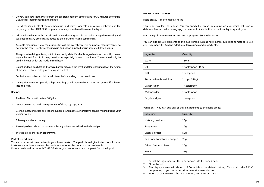- On very cold days let the water from the tap stand at room temperature for 30 minutes before use. Likewise for ingredients from the fridge.
- • Use all the ingredients at room temperature and water from cold unless stated otherwise in the recipe e.g for the ULTRA FAST programme when you will need to warm the liquid.
- • Add the ingredients to the bread pan in the order suggested in the recipe. Keep the yeast dry and separate from any other liquids added to the pan, until mixing commences.
- • Accurate measuring is vital for a successful loaf. Follow either metric or imperial measurements, do not mix the two. Use the measuring cup and spoon supplied or use accurate kitchen scales.
- • Always use fresh ingredients, within their use by date. Perishable ingredients such as milk, cheese, vegetables and fresh fruits may deteriorate, especially in warm conditions. These should only be used in breads which are made immediately.
- • Do not add too much fat as it forms a barrier between the yeast and flour, slowing down the action of the yeast, which could give a heavy, dense loaf.
- • Cut butter and other fats into small pieces before adding to the bread pan.
- • Giving the kneading paddle a light coating of oil may make it easier to remove if it bakes into the loaf.

#### **Recipes**

- The Bread Maker will make a 500g loaf.
- Do not exceed the maximum quantities of flour,  $2\frac{1}{3}$  cups,  $375g$
- Use the measuring cups and spoons supplied. Alternatively, ingredients can be weighed using your kitchen scales.
- • Follow quantities accurately.
- The recipe charts show the sequence the ingredients are added to the bread pan.
- • There is a recipe for each programme.

#### **Packet bread mixes**

You can use packet bread mixes in your bread maker. The pack should give instructions for use. Make sure you do not exceed the maximum amount the bread maker can handle. Do not use bread mixes with TIME DELAY as you cannot separate the yeast from the liquid.

#### **PROGRAMME 1 – BASIC**

Basic Bread. Time to make 3 hours

This is an excellent basic loaf. You can enrich the bread by adding an egg which will give a delicious flavour. When using egg, remember to include this in the total liquid quantity so;

Put the egg in the measuring cup and top up to 180ml with water.

You can add extra ingredients to this basic bread such as nuts, herbs, sun dried tomatoes, olives etc. (See page 13. Adding additional flavourings and ingredients.)

| Ingredient               | Quantity            |
|--------------------------|---------------------|
| Water                    | 180ml               |
| Oil                      | 1 tablespoon (15ml) |
| Salt                     | 1 teaspoon          |
| Strong white bread flour | 2 cups (320g)       |
| Caster sugar             | 1 tablespoon        |
| Milk powder              | 1 tablespoon        |
| Easy blend yeast         | 1 teaspoon          |

Variations – you can add any of these ingredients to the basic bread;

| Ingredient                  | Quantity |
|-----------------------------|----------|
| Nuts e.g. walnuts           | 25g      |
| Poppy seeds                 | 15q      |
| Cheese, grated              | 50q      |
| Sun dried tomatoes, chopped | 25q      |
| Olives. Cut into pieces     | 25q      |
| Seeds                       | 25q      |

1. Put all the ingredients in the order above into the bread pan.

2. Close the lid.

3. The display screen will show 1, 3:00 which is the default setting. This is also the BASIC programme so you do not need to press the MENU button.

4. Press COLOUR to select the crust – LIGHT, MEDIUM or DARK.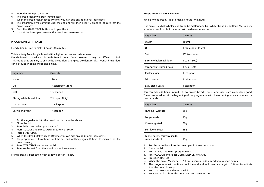- 5. Press the START/STOP button.
- 6 The Bread Maker will start immediately.
- 7. When the Bread Maker beeps 10 times you can add any additional ingredients.
- 8. The programme will continue until the end and will then beep 10 times to indicate that the bread is ready.
- 9. Press the START / STOP button and open the lid.
- 10. Lift out the bread pan; remove the bread and leave to cool.

#### **Programme 2 – FRENCH**

French Bread. Time to make 3 hours 50 minutes.

This is a tasty French style bread with a lighter texture and crisper crust.

French bread is usually made with French bread flour, however it may be difficult to find. This recipe uses ordinary strong white bread flour and gives excellent results. French bread flour can be found in some shops and online.

| Ingredient               | Quantity                   |
|--------------------------|----------------------------|
| Water                    | 190 <sub>m</sub>           |
| Oil                      | 1 tablespoon (15ml)        |
| Salt                     | 1 teaspoon                 |
| Strong white bread flour | $2\frac{1}{3}$ cups (375g) |
| Caster sugar             | 1 tablespoon               |
| Easy blend yeast         | 1 teaspoon                 |

1. Put the ingredients into the bread pan in the order above.

- 2. Close the lid.
- 3. Press MENU and select programme 2.
- 4. Press COLOUR and select LIGHT, MEDIUM or DARK.
- 5. Press START/STOP.
- 6. When the Bread Maker beeps 10 times you can add any additional ingredients.
- 7. The programme will continue until the end and will beep again 10 times to indicate that the bread is ready.
- 8 Press START/STOP and open the lid.
- 9. Remove the loaf from the bread pan and leave to cool.

French bread is best eaten fresh as it will soften if kept.

#### **Programme 3 – WHOLE-WHEAT**

Whole-wheat Bread. Time to make 3 hours 40 minutes

This bread uses half wholemeal strong bread flour and half white strong bread flour. You can use all wholemeal flour but the result will be denser in texture.

| Ingredient               | Quantity                 |
|--------------------------|--------------------------|
| Water                    | 180ml                    |
| Oil                      | 1 tablespoon (15ml)      |
| Salt                     | $1\frac{1}{2}$ teaspoons |
| Strong wholemeal flour   | 1 cup (160g)             |
| Strong white bread flour | 1 cup (160g)             |
| Caster sugar             | 1 teaspoon               |
| Milk powder              | 1 tablespoon             |
| Easy blend yeast         | 1 teaspoon               |

You can add additional ingredients to brown bread – seeds and grains are particularly good. These can be added at the beginning of the programme with the other ingredients or when the beep sounds.

| Ingredient        | Quantity        |
|-------------------|-----------------|
| Nuts e.g. walnuts | 25g             |
| Poppy seeds       | 15g             |
| Cheese, grated    | 50 <sub>g</sub> |
| Sunflower seeds   | 25g             |
| ______<br>. .     |                 |

 Fennel seeds, caraway seeds, cumin seeds etc 15g

1. Put the ingredients into the bread pan in the order above.

2. Close the lid.

- 3. Press MENU and select programme 3.
- 4. Press COLOUR and select LIGHT, MEDIUM or DARK.
- 5. Press START/STOP.
- 6. When the Bread Maker beeps 10 times you can add any additional ingredients.
- 7. The programme will continue until the end and will then beep again 10 times to indicate that the bread is ready.
- 8. Press START/STOP and open the lid.
- 9. Remove the loaf from the bread pan and leave to cool.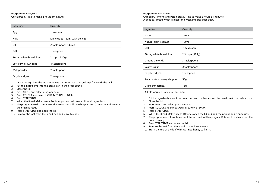# **Programme 4 – QUICK**

Quick bread. Time to make 2 hours 10 minutes

| Ingredient               | Quantity                      |
|--------------------------|-------------------------------|
| Egg                      | 1 medium                      |
| Milk                     | Make up to 180ml with the egg |
| Oil                      | 2 tablespoons (30ml)          |
| Salt                     | 1 teaspoon                    |
| Strong white bread flour | 2 cups (320g)                 |
| Soft light brown sugar   | 4 tablespoons                 |
| Milk powder              | 2 tablespoons                 |
| Easy blend yeast         | 2 teaspoons                   |
|                          |                               |

1. Crack the egg into the measuring cup and make up to 180ml, 6½ fl oz with the milk

- 2. Put the ingredients into the bread pan in the order above.
- 3. Close the lid.
- 4. Press MENU and select programme 4
- 5. Press COLOUR and select LIGHT, MEDIUM or DARK.
- 6. Press START/STOP.
- 7. When the Bread Maker beeps 10 times you can add any additional ingredients.
- 8. The programme will continue until the end and will then beep again 10 times to indicate that the bread is ready.
- 9. Press START/STOP and open the lid.
- 10. Remove the loaf from the bread pan and leave to cool.

# **Programme 5 – SWEET**

Cranberry, Almond and Pecan Bread. Time to make 2 hours 55 minutes A delicious bread which is ideal for a weekend breakfast treat.

| Ingredient                         | Quantity                   |  |
|------------------------------------|----------------------------|--|
| Water                              | 150ml                      |  |
| Natural plain yoghurt              | 100ml                      |  |
| Salt                               | $\frac{1}{2}$ teaspoon     |  |
| Strong white bread flour           | $2\frac{1}{3}$ cups (375g) |  |
| Ground almonds                     | 3 tablespoons              |  |
| Caster sugar                       | 3 tablespoons              |  |
| Easy blend yeast                   | 1 teaspoon                 |  |
| Pecan nuts, coarsely chopped       | 50q                        |  |
| Dried cranberries,                 | 75g                        |  |
| A little warmed honey for brushing |                            |  |

- 1. Put the ingredients, except the pecan nuts and cranberries, into the bread pan in the order above.
- 2. Close the lid.
- 3. Press MENU and select programme 5
- 4. Press COLOUR and select LIGHT, MEDIUM or DARK.
- 5. Press START/STOP.
- 6. When the Bread Maker beeps 10 times open the lid and add the pecans and cranberries.
- 7. The programme will continue until the end and will beep again 10 times to indicate that the bread is ready.
- 8. Press START/STOP and open the lid.
- 9. Remove the loaf from the bread pan and leave to cool.
- 10. Brush the top of the loaf with warmed honey to finish.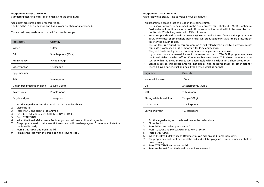#### **Programme 6 – GLUTEN-FREE**

Standard gluten-free loaf: Time to make 3 hours 30 minutes

Use gluten-free bread blend for this recipe. The bread has a dense texture and has a lower rise than ordinary bread.

You can add any seeds, nuts or dried fruits to this recipe.

| Ingredients                   | Quantity                 |
|-------------------------------|--------------------------|
| Water                         | 150ml                    |
| Oil                           | 3 tablespoons (45ml)     |
| Runny honey                   | $\frac{1}{4}$ cup (100g) |
| Cider vinegar                 | 1 teaspoon               |
| Egg, medium                   | 1                        |
| Salt                          | $\frac{1}{2}$ teaspoon   |
| Gluten free bread flour blend | 2 cups (320g)            |
| Caster sugar                  | 2 tablespoons            |
| Easy blend yeast              | 1 teaspoon               |

- 1. Put the ingredients into the bread pan in the order above.
- 2. Close the lid.
- 3. Press MENU and select programme 6
- 4. Press COLOUR and select LIGHT, MEDIUM or DARK.
- 5. Press START/STOP.
- 6. When the Bread Maker beeps 10 times you can add any additional ingredients.
- 7. The programme will continue until the end and will then beep again 10 times to indicate that the bread is ready.
- 8. Press START/STOP and open the lid.
- 9. Remove the loaf from the bread pan and leave to cool.

#### **Programme 7 – ULTRA FAST**

Ultra fast white bread. Time to make 1 hour 38 minutes

This programme cooks a loaf of bread in the shortest time.

- Use lukewarm water to help speed up the rising process  $(32 35^{\circ}C / 90 95^{\circ}F)$  is optimum. Cold water will result in a shorter loaf. If the water is too hot it will kill the yeast. For best results mix 25% boiling water with 75% cold water.
- Bread recipes should contain at least 65% strong white bread flour on this programme. 100% wholemeal or other whole grain breads will produce poor results as there is insufficient time for the dough to rise.
- The salt level is reduced for this programme as salt retards yeast activity. However, do not eliminate it completely as it is important for taste and texture.
- The yeast levels are higher on this programme to help ensure a rapid rise.
- If you want to make several loaves in succession on this ULTRA FAST programme, leave the Bread Maker switched off for 30 minutes between loaves. This allows the temperature sensor within the Bread Maker to work accurately, which is critical for a short bread cycle.
- • Breads made on this programme will not rise as high as loaves made on other settings. The will have a softer crust and be a little denser, which is normal.

| Ingredient               | Quantity                 |
|--------------------------|--------------------------|
| Water - lukewarm         | 150ml                    |
| Oil                      | 2 tablespoons, (30ml)    |
| Salt                     | $\frac{1}{2}$ teaspoon   |
| Strong white bread flour | 2 cups (320g)            |
| Caster sugar             | 3 tablespoons            |
| Easy blend yeast         | $1\frac{1}{4}$ teaspoons |
|                          |                          |

- 1. Put the ingredients, into the bread pan in the order above.
- 2. Close the lid.
- 3. Press MENU and select programme 7
- 4. Press COLOUR and select LIGHT, MEDIUM or DARK.
- 5. Press START/STOP.
- 6. When the Bread Maker beeps 10 times you can add any additional ingredients.
- 7. The programme will continue until the end and will beep again 10 times to indicate that the bread is ready.
- 8. Press START/STOP and open the lid.
- 9. Remove the loaf from the bread pan and leave to cool.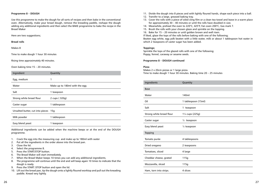#### **Programme 8 – DOUGH**

Use this programme to make the dough for all sorts of recipes and then bake in the conventional oven. Alternatively, make your bread dough, remove the kneading paddle, reshape the dough adding any additional ingredients and then select the BAKE programme to bake the recipe in the Bread Maker

#### Here are two suggestions;

#### **Bread rolls**

Makes 8

Time to make dough 1 hour 30 minutes

Rising time approximately 40 minutes.

Oven baking time 15 – 20 minutes.

| Ingredient                           | Quantity                      |
|--------------------------------------|-------------------------------|
| Egg, medium                          | 1                             |
| Water                                | Make up to 180ml with the egg |
| Salt                                 | 1 teaspoon                    |
| Strong white bread flour             | 2 cups (320g)                 |
| Caster sugar                         | 1 tablespoon                  |
| Unsalted butter, cut into pieces 15g |                               |
| Milk powder                          | 1 tablespoon                  |
| Easy blend yeast                     | 1 teaspoon                    |

Additional ingredients can be added when the machine beeps or at the end of the DOUGH programme.

- 1. Crack the egg into the measuring cup and make up to 180ml with water
- 2. Put all the ingredients in the order above into the bread pan.
- 3. Close the lid.
- 4. Select the programme 8.
- 5. Press the START/STOP button.
- 6. The Bread Maker will start immediately.
- 7. When the Bread Maker beeps 10 times you can add any additional ingredients.
- 8. The programme will continue until the end and will beep again 10 times to indicate that the dough is ready.
- 9. Press the START /STOP button and open the lid.
- 10. Lift out the bread pan, tip the dough onto a lightly floured worktop and pull out the kneading paddle. Knead very lightly.
- 11. Divide the dough into 8 pieces and with lightly floured hands, shape each piece into a ball.
- 12. Transfer to a large, greased baking tray.
- 13. Cover the rolls with a piece of oiled cling film or a clean tea towel and leave in a warm place for approximately 30 – 40 minutes or until the rolls have doubled in size.
- 14. Meanwhile, preheat the oven to 220°C, 425°F, Fan oven 200°C, Gas mark 7.
- 15. Brush the rolls with your chosen glaze and sprinkle on the topping.
- 16. Bake for 15 20 minutes or until golden brown and well risen.

If liked, glaze the tops of the rolls before baking with one of the following; Beaten egg white, egg yolk beaten with a little water, milk or about 1 tablespoon hot water in which 2 teaspoons of caster sugar has been added.

#### **Toppings;**

Sprinkle the tops of the glazed rolls with one of the following; Poppy, fennel, caraway or sesame seeds.

#### **Programme 8 – DOUGH continued**

#### **Pizza**

Makes 2 x 20cm pizzas or 1 large pizza. Time to make dough 1 hour 30 minutes. Baking time 20 – 25 minutes

| Ingredients              | Quantity                                  |
|--------------------------|-------------------------------------------|
| <b>Base</b>              |                                           |
| Water                    | 140ml                                     |
| Oil                      | 1 tablespoon (15ml)                       |
| Salt                     | 1 teaspoon                                |
| Strong white bread flour | 1 <sup>1</sup> / <sub>4</sub> cups (225g) |
| Caster sugar             | $\frac{1}{2}$ teaspoon                    |
| Easy blend yeast         | $\frac{1}{2}$ teaspoon                    |
| Topping                  |                                           |
| Tomato purée             | 4 tablespoons                             |
| Dried oregano            | 2 teaspoons                               |
| Tomatoes, sliced         | 4 large                                   |
| Cheddar cheese, grated   | 115g                                      |
| Mozzarella, sliced       | 115g                                      |
| Ham, torn into strips.   | 4 slices                                  |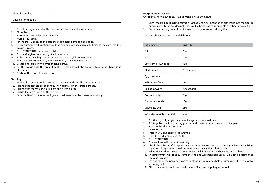| Pitted black olives | 10 |
|---------------------|----|
|---------------------|----|

#### Olive oil for drizzling j

- 1. Put all the ingredients for the base in the machine in the order above.
- 2. Close the lid.
- 3. Press MENU and select programme 8.
- 4. Press START/STOP.
- 5. Ignore the 10 beeps to indicate that extra ingredients can be added.
- 6. The programme will continue until the end and will beep again 10 times to indicate that the dough is ready.
- 7. Press START/STOP and open the lid.
- 8. Tip the dough onto a very lightly floured board.
- 9. Pull out the kneading paddle and divide the dough into two pieces.
- 10. Preheat the oven to 220°C, Fan oven 200°C, 425°F, Gas mark 7.
- 11. Grease one large or two smaller baking trays.
- 12. Put the dough onto the tin and gently stretch and pull the dough into a round shape so it fits the tins
- 13. Pinch up the edges to make a lip.

#### **Topping**

- 14. Spread the tomato purée over the pizza bases and sprinkle on the oregano.
- 15. Arrange the tomato slices on top. Then sprinkle on the grated cheese.
- 16. Arrange the Mozzarella slices, ham and olives on top.
- 17. Drizzle the pizzas with a little olive oil.
- 18. Bake for 20 25 minutes until golden, well risen and the cheese is bubbling.

#### **Programme 9 – CAKE**

Chocolate and walnut cake. Time to make 1 hour 50 minutes

- 1. Check the mixture is mixing correctly about 5 minutes open the lid and make sure the flour is mixing in evenly. Scrape down the sides of the bread pan to incorporate any stray lumps of flour.
- 2. Do not use strong bread flour for cakes use your usual ordinary flour.

This chocolate cake is moist and delicious.

| Ingredients              | Quantity                 |
|--------------------------|--------------------------|
| Oil                      | 75ml                     |
| Milk                     | 75ml                     |
| Soft light brown sugar   | 75g                      |
| <b>Black treacle</b>     | 2 teaspoons              |
| Egg, medium              | 1                        |
| Self raising flour       | 115g                     |
| <b>Baking powder</b>     | 1/ <sub>4</sub> teaspoon |
| Cocoa powder             | 25g                      |
| Ground almonds           | 25g                      |
| Chocolate chips          | 25g                      |
| Walnuts, roughly chopped | 50 <sub>g</sub>          |

1. Put the oil, milk, sugar, treacle and eggs into the bread pan.

2. Sift together the flour, baking powder and cocoa powder, then add to the pan.

- 3. Sprinkle the almonds on top.
- 4. Close the lid.
- 5. Press MENU and select programme 9.
- 6. Press COLOUR and select LIGHT.
- 7. Press START/STOP.
- 8. The machine will start automatically.
- 9. Check the mixture after approximately 5 minutes to check that the ingredients are mixing together. Scrape down the sides to incorporate any flour that remains.
- 10. When the machine beeps 10 times, open the lid and add the chocolate and walnuts.
- 11. The programme will continue until the end and will then beep again 10 times to indicate that the cake is ready.
- 12. Lift out the bread pan and leave to cool for a few minutes before turning out the cake onto a cooling rack.
- 13. Allow the cake to cool completely before filling and topping as desired.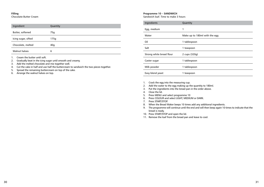#### **Filling**

Chocolate Butter Cream

| Ingredient           | Quantity |
|----------------------|----------|
|                      |          |
| Butter, softened     | 75g      |
|                      |          |
|                      |          |
| Icing sugar, sifted  | 175g     |
|                      |          |
| Chocolate, melted    | 40q      |
|                      |          |
| <b>Walnut halves</b> | 6        |
|                      |          |

1. Cream the butter until soft.

2. Gradually beat in the icing sugar until smooth and creamy.

- 3. Add the melted chocolate and mix together well.
- 4. Cut the cake in half and use half the buttercream to sandwich the two pieces together.
- 5. Spread the remaining buttercream on top of the cake.
- 6. Arrange the walnut halves on top.

#### **Programme 10 – SANDWICH**

Sandwich loaf. Time to make 3 hours

| Ingredients              | Quantity                      |
|--------------------------|-------------------------------|
| Egg, medium              | 1                             |
| Water                    | Make up to 180ml with the egg |
| Oil                      | 1 tablespoon                  |
| Salt                     | 1 teaspoon                    |
| Strong white bread flour | 2 cups (320g)                 |
| Caster sugar             | 1 tablespoon                  |
| Milk powder              | 1 tablespoon                  |
| Easy blend yeast         | 1 teaspoon                    |

1. Crack the egg into the measuring cup.

- 2. Add the water to the egg making up the quantity to 180ml.
- 3. Put the ingredients into the bread pan in the order above.
- 4. Close the lid.
- 5. Press MENU and select programme 10
- 6. Press COLOUR and select LIGHT, MEDIUM or DARK.
- 7. Press START/STOP.
- 8. When the Bread Maker beeps 10 times add any additional ingredients.
- 9. The programme will continue until the end and will then beep again 10 times to indicate that the bread is ready.
- 10. Press START/STOP and open the lid.
- 11. Remove the loaf from the bread pan and leave to cool.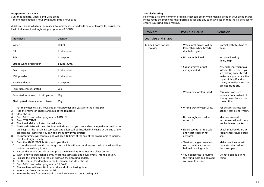#### **Programme 11 – BAKE** Sun-dried Tomato, Cheese and Olive Bread Time to make dough 1 hour 30 minutes plus 1 hour Bake

A delicious bread which can be made into sandwiches, served with soup or toasted for bruschetta. First of all make the dough using programme 8 DOUGH

| Ingredients                           | Quantity        |
|---------------------------------------|-----------------|
| Water                                 | 180ml           |
| Oil                                   | 1 tablespoon    |
| Salt                                  | 1 teaspoon      |
| Strong white bread flour              | 2 cups (320g)   |
| Caster sugar                          | 1 tablespoon    |
| Milk powder                           | 1 tablespoon    |
| Easy blend yeast                      | 1 teaspoon      |
| Parmesan cheese, grated               | 50q             |
| Sun-dried tomatoes, cut into pieces   | 50 <sub>g</sub> |
| Black, pitted olives, cut into pieces | 25q             |

1. Put the water, oil, salt, flour, sugar, milk powder and yeast into the bread pan.

- 2. Add the Parmesan cheese and 25g of the tomatoes.
- 3. Close the lid.
- 4. Press MENU and select programme 8 DOUGH.
- 5. Press START/STOP.
- 6. The Bread Maker will start immediately.
- 7. The Bread Maker will beep 10 times to indicate that you can add extra ingredients but ignore the beeps as the remaining tomatoes and olives will be kneaded in by hand at the end of the programme ( however, you can add them now if you prefer)
- 8. The programme will continue and will beep 10 times at the end of the programme to indicate that the dough is ready.
- 9. Press the START / STOP button and open the lid.
- 10. Lift out the bread pan, tip the dough onto a lightly floured worktop and pull out the kneading paddle. Knead very lightly.
- 11. Flatten the dough out a little and place the remaining tomatoes and olives on top.
- 12. With lightly floured hands gently knead the tomatoes and olives evenly into the dough.
- 13. Replace the bread pan in the unit without the kneading paddle.
- 14. Put the completed dough into the bread pan and close the lid
- 15. Press MENU and select programme 11 BAKE.
- 16. The machine will beep 10 times at the end of the baking time.
- 17. Press START/STOP and open the lid.
- 18. Remove the loaf from the bread pan and leave to cool on a cooling rack.

#### **Troubleshooting**

Following are some common problems that can occur when making bread in your Bread maker. Please revue the problems, their possible cause and any corrective action that should be taken to ensure successful bread making.

| Problem                           | <b>Possible Cause</b>                                                              | Solution                                                                                                                                                                                         |
|-----------------------------------|------------------------------------------------------------------------------------|--------------------------------------------------------------------------------------------------------------------------------------------------------------------------------------------------|
| Loaf size and shape               |                                                                                    |                                                                                                                                                                                                  |
| 1. Bread does not rise<br>enough. | • Wholemeal breads will be<br>lower than white breads<br>due to less gluten.       | • Normal with this type of<br>flour.                                                                                                                                                             |
|                                   | • Not enough liquid.                                                               | • Increase liquid by<br>15ml, 3tsp.                                                                                                                                                              |
|                                   | • Sugar omitted or not<br>enough added.                                            | • Assemble ingredients as<br>listed in the recipe. If you<br>are making sweet bread<br>make sure you reduce the<br>sugar slightly if adding<br>sugary ingredients such as<br>candied fruits etc. |
|                                   | • Wrong type of flour used.                                                        | • You may have used<br>ordinary flour instead of<br>strong bread flour $-$ use<br>correct flour.                                                                                                 |
|                                   | • Wrong type of yeast used.                                                        | • For best results use fast<br>action "easy blend" yeast.                                                                                                                                        |
|                                   | • Not enough yeast added<br>or too old.                                            | • Measure amount<br>recommended and check<br>use by date on packet.                                                                                                                              |
|                                   | • Liquid too hot or too cold<br>and yeast killed or not<br>activated.              | • Check that liquids are at<br>room temperature before<br>use.                                                                                                                                   |
|                                   | • Yeast and sugar came into<br>contact with each other<br>before kneading cycle.   | • Make sure they remain<br>separate when added to<br>the bread pan.                                                                                                                              |
|                                   | • You opened the lid during<br>the rising cycle and allowed<br>warm air to escape. | • Do not open lid during<br>rising.                                                                                                                                                              |
|                                   |                                                                                    |                                                                                                                                                                                                  |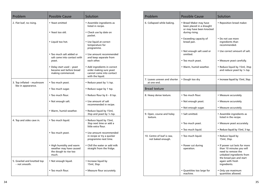| Problem                                     | <b>Possible Cause</b>                                                                 | Solution                                                                                                |
|---------------------------------------------|---------------------------------------------------------------------------------------|---------------------------------------------------------------------------------------------------------|
| 2. Flat loaf, no rising.                    | • Yeast omitted                                                                       | • Assemble ingredients as<br>listed in recipe.                                                          |
|                                             | • Yeast too old.                                                                      | • Check use by date on<br>packet.                                                                       |
|                                             | • Liquid too hot.                                                                     | • Use liquid at correct<br>temperature for<br>programme.                                                |
|                                             | • Too much salt added or<br>salt came into contact with<br>yeast.                     | • Use amount recommended<br>and keep separate from<br>each other.                                       |
|                                             | • Delay start used – yeast<br>became wet before bread<br>making commenced.            | • Add ingredients in correct<br>order making sure yeast<br>cannot come into contact<br>with the liquid. |
| 3. Top inflated - mushroom                  | • Too much yeast.                                                                     | • Reduce yeast by $\frac{1}{4}$ tsp.                                                                    |
| like in appearance.                         | • Too much sugar.                                                                     | • Reduce sugar by 1 tsp.                                                                                |
|                                             | • Too much flour.                                                                     | • Reduce flour by $6 - 8$ tsp.                                                                          |
|                                             | • Not enough salt.                                                                    | • Use amount of salt<br>recommended in recipe.                                                          |
|                                             | • Warm, humid weather.                                                                | • Reduce liquid by 15ml,<br>3tsp and yeast by 1/4 tsp.                                                  |
| 4. Top and sides cave in.                   | · Too much liquid.                                                                    | • Reduce liquid by 15ml,<br>3tsp next time or add a<br>little extra flour.                              |
|                                             | • Too much yeast.                                                                     | • Use amount recommended<br>in recipe or try a quicker<br>programme next time.                          |
|                                             | • High humidity and warm<br>weather may have caused<br>the dough to rise too<br>much. | • Chill the water or add milk<br>straight from the fridge.                                              |
| 5. Gnarled and knotted top<br>– not smooth. | • Not enough liquid.                                                                  | • Increase liquid by<br>15ml, 3tsp.                                                                     |
|                                             | • Too much flour.                                                                     | • Measure flour accurately.                                                                             |

| Problem                                         | <b>Possible Cause</b>                                                                            | Solution                                                                                                                                                                   |
|-------------------------------------------------|--------------------------------------------------------------------------------------------------|----------------------------------------------------------------------------------------------------------------------------------------------------------------------------|
| 6. Collapsed while baking.                      | • Bread Maker may have<br>been placed in a draught<br>or may have been knocked<br>during rising. | • Reposition bread maker.                                                                                                                                                  |
|                                                 | • Exceeding capacity of<br>bread pan.                                                            | • Do not use more<br>ingredients than<br>recommended.                                                                                                                      |
|                                                 | • Not enough salt used or<br>omitted.                                                            | • Use correct amount of salt.                                                                                                                                              |
|                                                 | • Too much yeast.                                                                                | • Measure yeast carefully.                                                                                                                                                 |
|                                                 | • Warm, humid weather.                                                                           | • Reduce liquid by 15ml, 3tsp<br>and reduce yeast by 1/4 tsp.                                                                                                              |
| 7. Loaves uneven and shorter<br>at one end.     | • Dough too dry                                                                                  | • Increase liquid by 15ml, 3tsp.                                                                                                                                           |
| <b>Bread texture</b>                            |                                                                                                  |                                                                                                                                                                            |
| 8. Heavy dense texture.                         | . Too much flour.                                                                                | • Measure accurately.                                                                                                                                                      |
|                                                 | • Not enough yeast.                                                                              | • Measure accurately.                                                                                                                                                      |
|                                                 | • Not enough sugar.                                                                              | • Measure accurately.                                                                                                                                                      |
| 9. Open, course and holey<br>texture.           | • Salt omitted.                                                                                  | • Assemble ingredients as<br>listed in the recipe.                                                                                                                         |
|                                                 | • Too much yeast.                                                                                | • Measure yeast accurately.                                                                                                                                                |
|                                                 | • Too much liquid.                                                                               | • Reduce liquid by 15ml, 3 tsp.                                                                                                                                            |
| 10. Centre of loaf is raw,<br>not baked enough. | • Too much liquid.                                                                               | • Reduce liquid by<br>15ml, 3tsp.                                                                                                                                          |
|                                                 | • Power cut during<br>operation.                                                                 | • If power cut lasts for more<br>than 10 minutes you will<br>need to remove the<br>unbaked ingredients from<br>the bread pan and start<br>again with fresh<br>ingredients. |
|                                                 | • Quantities too large for<br>machine.                                                           | • Only use maximum<br>quantities allowed.                                                                                                                                  |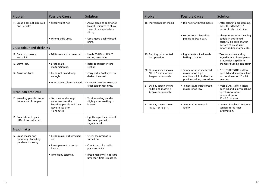| Problem                                                           | <b>Possible Cause</b>                                                                                       | Solution                                                                                                             |
|-------------------------------------------------------------------|-------------------------------------------------------------------------------------------------------------|----------------------------------------------------------------------------------------------------------------------|
| 11. Bread does not slice well<br>and is sticky.                   | . Sliced whilst hot.                                                                                        | • Allow bread to cool for at<br>least 30 minutes to allow<br>steam to escape before<br>slicing.                      |
|                                                                   | • Wrong knife used.                                                                                         | • Use a good quality bread<br>knife.                                                                                 |
| <b>Crust colour and thickness</b>                                 |                                                                                                             |                                                                                                                      |
| 12. Dark crust colour,<br>too thick.                              | • DARK crust colour selected.                                                                               | • Use MEDIUM or LIGHT<br>setting next time.                                                                          |
| 13. Burnt loaf.                                                   | • Bread maker<br>malfunctioning.                                                                            | • Refer to customer care<br>section.                                                                                 |
| 14. Crust too light.                                              | • Bread not baked long<br>enough.                                                                           | • Carry out a BAKE cycle to<br>darken the crust.                                                                     |
|                                                                   | • LIGHT crust colour selected.                                                                              | • Choose DARK or MEDIUM<br>crust colour next time.                                                                   |
| Bread pan problems                                                |                                                                                                             |                                                                                                                      |
| 15. Kneading paddle cannot<br>be removed from pan.                | • You must add enough<br>water to cover the<br>kneading paddle and then<br>leave to soak for<br>10 minutes. | • Twist kneading paddle<br>slightly after soaking to<br>loosen.                                                      |
| 16. Bread sticks to pan/<br>difficult to shake out.               |                                                                                                             | • Lightly wipe the inside of<br>the bread pan with<br>vegetable oil.                                                 |
| <b>Bread maker</b>                                                |                                                                                                             |                                                                                                                      |
| 17. Bread maker not<br>operating / kneading<br>paddle not moving. | · Bread maker not switched<br>on.<br>• Bread pan not correctly<br>located.<br>• Time delay selected.        | • Check the product is<br>turned on.<br>• Check pan is locked in<br>place correctly.<br>• Bread maker will not start |
|                                                                   |                                                                                                             | until start time is reached.                                                                                         |

| Problem                                                               | <b>Possible Cause</b>                                                                                          | Solution                                                                                                                                |
|-----------------------------------------------------------------------|----------------------------------------------------------------------------------------------------------------|-----------------------------------------------------------------------------------------------------------------------------------------|
| 18. Ingredients not mixed.                                            | • Did not start bread maker.                                                                                   | • After selecting programme,<br>press the START/STOP<br>button to start machine.                                                        |
|                                                                       | • Forgot to put kneading<br>paddle in bread pan.                                                               | • Always make sure kneading<br>paddle in positioned<br>correctly on drive shaft in<br>bottom of bread pan<br>before adding ingredients. |
| 19. Burning odour noted<br>on operation.                              | • Ingredients spilled inside<br>baking chamber.                                                                | • Take care when adding<br>ingredients to bread pan -<br>if ingredients spill into<br>chamber burning can occur.                        |
| 20. Display screen shows<br>"H HH" and machine<br>beeps continuously. | • Temperature inside bread<br>maker is too high -<br>machine still hot after the<br>previous baking procedure. | • Press START/STOP button,<br>open lid and allow machine<br>to cool down for $10 - 20$<br>minutes.                                      |
| 21. Display screen shows<br>"I II" and machine<br>beeps continuously. | • Temperature inside bread<br>maker is too low.                                                                | • Press START/STOP button,<br>open lid and allow machine<br>to return to room<br>temperature for<br>$10 - 20$ minutes.                  |
| 22. Display screen shows<br>"E EO" or "E E1".                         | • Temperature sensor is<br>faulty.                                                                             | • Contact Lakeland Customer<br>Services for further<br>information.                                                                     |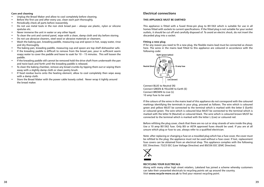#### **Care and cleaning**

- • Unplug the Bread Maker and allow to cool completely before cleaning.
- Before the first use and after every use, clean each part thoroughly.
- • Periodically check all parts before reassembly.
- • Do not use metal tools in the non stick bread pan always use plastic, nylon or silicone spatulas etc.
- Never immerse the unit in water or any other liquid.
- To clean the unit and control panel, wipe with a clean, damp cloth and dry before storing.
- Do not use abrasive cleaners, steel wool or abrasive materials or cleansers.
- • Wash the baking pan, kneading paddle, measuring cup and spoon in hot, soapy water, rinse and dry thoroughly.
- The baking pan, kneading paddle, measuring cup and spoon are top shelf dishwasher safe.
- • If the kneading paddle is difficult to remove from the bread pan, pour in sufficient warm soapy water to cover the paddle and leave to soak for  $10 - 15$  minutes. This will loosen the paddle.
- • If the kneading paddle still cannot be removed hold the drive shaft from underneath the pan and twist back and forth until the kneading paddle is released.
- • To clean the baking chamber, remove any bread crumbs by tipping them out or wiping them away with a slightly damp cloth or clean pastry brush.
- If food residue burns onto the heating element, allow to cool completely then wipe away with a damp cloth.
- • Store the Bread Maker with the power cable loosely coiled. Never wrap it tightly around the bread maker.

# **Electrical connections**

#### **THIS APPLIANCE MUST BE EARTHED**

This appliance is fitted with a fused three-pin plug to BS1363 which is suitable for use in all homes fitted with sockets to current specifications. If the fitted plug is not suitable for your socket outlets, it should be cut off and carefully disposed of. To avoid an electric shock, do not insert the discarded plug into a socket.

#### **Fitting a new plug**

If for any reason you need to fit a new plug, the flexible mains lead must be connected as shown here. The wires in the mains lead fitted to this appliance are coloured in accordance with the following code:



Connect BLUE to Neutral (N) Connect GREEN & YELLOW to Earth (E) Connect BROWN to Live (L) 10 amp fuse to be used

If the colours of the wires in the mains lead of this appliance do not correspond with the coloured markings identifying the terminals in your plug, proceed as follows. The wire which is coloured green and yellow MUST be connected to the terminal which is marked with the letter E (Earth) or coloured green. The wire which is coloured blue MUST be connected to the terminal which is marked with the letter N (Neutral) or coloured black. The wire which is coloured brown MUST be connected to the terminal which is marked with the letter L (Live) or coloured red.

Before refitting the plug cover, check that there are no cut or stray strands of wire inside the plug. Use a 10 amp BS1362 fuse. Only BSI or ASTA approved fuses should be used. If you are at all unsure which plug or fuse to use, always refer to a qualified electrician.

Note: after replacing or changing a fuse on a moulded plug which has a fuse cover, the cover must be refitted to the plug; the appliance must not be used without a fuse cover. If lost, replacement fuse covers can be obtained from an electrical shop. This appliance complies with the following EEC Directives: 73/23 EEC (Low Voltage Directive) and 89/336 EEC (EMC Directive).



#### **RECYCLING YOUR ELECTRICALS**

Along with many other high street retailers, Lakeland has joined a scheme whereby customers can take their unwanted electricals to recycling points set up around the country. Visit **www.recycle-more.co.uk** to find your nearest recycling point.